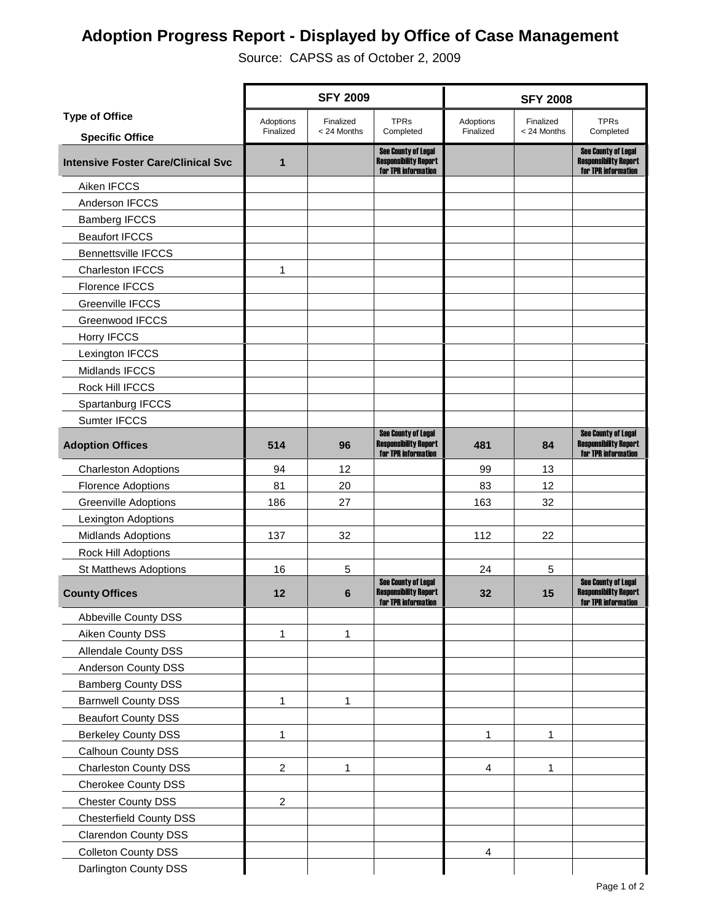## **Adoption Progress Report - Displayed by Office of Case Management**

Source: CAPSS as of October 2, 2009

|                                           | <b>SFY 2009</b> |             |                                                                                   | <b>SFY 2008</b> |             |                                                                                   |  |
|-------------------------------------------|-----------------|-------------|-----------------------------------------------------------------------------------|-----------------|-------------|-----------------------------------------------------------------------------------|--|
| <b>Type of Office</b>                     | Adoptions       | Finalized   | <b>TPRs</b>                                                                       | Adoptions       | Finalized   | <b>TPRs</b>                                                                       |  |
| <b>Specific Office</b>                    | Finalized       | < 24 Months | Completed                                                                         | Finalized       | < 24 Months | Completed                                                                         |  |
| <b>Intensive Foster Care/Clinical Svc</b> | 1               |             | <b>See County of Legal</b><br><b>Responsibility Report</b><br>for TPR information |                 |             | <b>See County of Legal</b><br><b>Responsibility Report</b><br>for TPR information |  |
| Aiken IFCCS                               |                 |             |                                                                                   |                 |             |                                                                                   |  |
| Anderson IFCCS                            |                 |             |                                                                                   |                 |             |                                                                                   |  |
| <b>Bamberg IFCCS</b>                      |                 |             |                                                                                   |                 |             |                                                                                   |  |
| <b>Beaufort IFCCS</b>                     |                 |             |                                                                                   |                 |             |                                                                                   |  |
| <b>Bennettsville IFCCS</b>                |                 |             |                                                                                   |                 |             |                                                                                   |  |
| <b>Charleston IFCCS</b>                   | 1               |             |                                                                                   |                 |             |                                                                                   |  |
| <b>Florence IFCCS</b>                     |                 |             |                                                                                   |                 |             |                                                                                   |  |
| Greenville IFCCS                          |                 |             |                                                                                   |                 |             |                                                                                   |  |
| <b>Greenwood IFCCS</b>                    |                 |             |                                                                                   |                 |             |                                                                                   |  |
| Horry IFCCS                               |                 |             |                                                                                   |                 |             |                                                                                   |  |
| Lexington IFCCS                           |                 |             |                                                                                   |                 |             |                                                                                   |  |
| <b>Midlands IFCCS</b>                     |                 |             |                                                                                   |                 |             |                                                                                   |  |
| Rock Hill IFCCS                           |                 |             |                                                                                   |                 |             |                                                                                   |  |
| Spartanburg IFCCS                         |                 |             |                                                                                   |                 |             |                                                                                   |  |
| Sumter IFCCS                              |                 |             |                                                                                   |                 |             |                                                                                   |  |
| <b>Adoption Offices</b>                   | 514             | 96          | <b>See County of Legal</b><br><b>Responsibility Report</b><br>for TPR information | 481             | 84          | <b>See County of Legal</b><br><b>Responsibility Report</b><br>for TPR information |  |
| <b>Charleston Adoptions</b>               | 94              | 12          |                                                                                   | 99              | 13          |                                                                                   |  |
| <b>Florence Adoptions</b>                 | 81              | 20          |                                                                                   | 83              | 12          |                                                                                   |  |
| <b>Greenville Adoptions</b>               | 186             | 27          |                                                                                   | 163             | 32          |                                                                                   |  |
| Lexington Adoptions                       |                 |             |                                                                                   |                 |             |                                                                                   |  |
| <b>Midlands Adoptions</b>                 | 137             | 32          |                                                                                   | 112             | 22          |                                                                                   |  |
| Rock Hill Adoptions                       |                 |             |                                                                                   |                 |             |                                                                                   |  |
| St Matthews Adoptions                     | 16              | 5           |                                                                                   | 24              | 5           |                                                                                   |  |
| <b>County Offices</b>                     | 12              | 6           | <b>See County of Legal</b><br><b>Responsibility Report</b><br>for TPR information | 32              | 15          | <b>See County of Legal</b><br><b>Responsibility Report</b><br>for TPR information |  |
| Abbeville County DSS                      |                 |             |                                                                                   |                 |             |                                                                                   |  |
| Aiken County DSS                          | 1               | 1           |                                                                                   |                 |             |                                                                                   |  |
| <b>Allendale County DSS</b>               |                 |             |                                                                                   |                 |             |                                                                                   |  |
| Anderson County DSS                       |                 |             |                                                                                   |                 |             |                                                                                   |  |
| <b>Bamberg County DSS</b>                 |                 |             |                                                                                   |                 |             |                                                                                   |  |
| <b>Barnwell County DSS</b>                | 1               | 1           |                                                                                   |                 |             |                                                                                   |  |
| <b>Beaufort County DSS</b>                |                 |             |                                                                                   |                 |             |                                                                                   |  |
| <b>Berkeley County DSS</b>                | 1               |             |                                                                                   | 1               | 1           |                                                                                   |  |
| Calhoun County DSS                        |                 |             |                                                                                   |                 |             |                                                                                   |  |
| <b>Charleston County DSS</b>              | $\overline{c}$  | 1           |                                                                                   | $\overline{4}$  | 1           |                                                                                   |  |
| Cherokee County DSS                       |                 |             |                                                                                   |                 |             |                                                                                   |  |
| <b>Chester County DSS</b>                 | $\overline{c}$  |             |                                                                                   |                 |             |                                                                                   |  |
| <b>Chesterfield County DSS</b>            |                 |             |                                                                                   |                 |             |                                                                                   |  |
| <b>Clarendon County DSS</b>               |                 |             |                                                                                   |                 |             |                                                                                   |  |
| <b>Colleton County DSS</b>                |                 |             |                                                                                   | 4               |             |                                                                                   |  |
| Darlington County DSS                     |                 |             |                                                                                   |                 |             |                                                                                   |  |